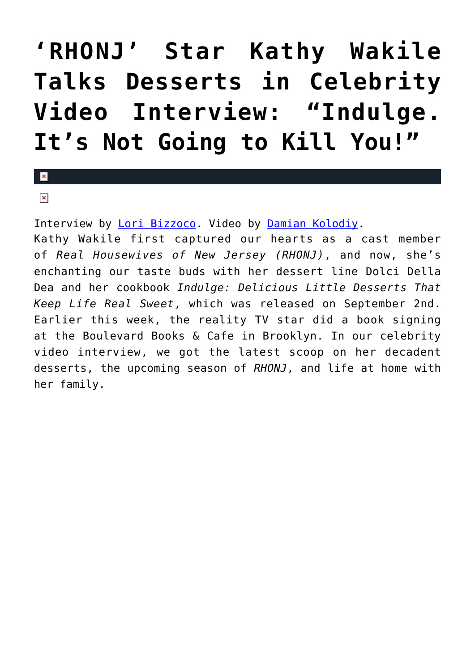# **['RHONJ' Star Kathy Wakile](https://cupidspulse.com/80396/rhonj-kathy-wakile-dessert-cookbook-indulge/) [Talks Desserts in Celebrity](https://cupidspulse.com/80396/rhonj-kathy-wakile-dessert-cookbook-indulge/) [Video Interview: "Indulge.](https://cupidspulse.com/80396/rhonj-kathy-wakile-dessert-cookbook-indulge/) [It's Not Going to Kill You!"](https://cupidspulse.com/80396/rhonj-kathy-wakile-dessert-cookbook-indulge/)**

### $\vert \mathbf{x} \vert$  $\pmb{\times}$

Interview by [Lori Bizzoco.](http://cupidspulse.com/104596/lori-bizzoco/) Video by [Damian Kolodiy.](http://www.imdb.com/name/nm2849435/)

Kathy Wakile first captured our hearts as a cast member of *Real Housewives of New Jersey (RHONJ)*, and now, she's enchanting our taste buds with her dessert line Dolci Della Dea and her cookbook *Indulge: Delicious Little Desserts That Keep Life Real Sweet*, which was released on September 2nd. Earlier this week, the reality TV star did a book signing at the Boulevard Books & Cafe in Brooklyn. In our celebrity video interview, we got the latest scoop on her decadent desserts, the upcoming season of *RHONJ*, and life at home with her family.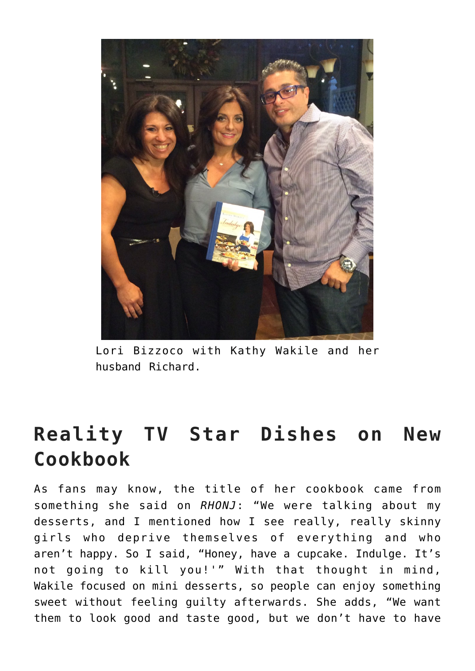

Lori Bizzoco with Kathy Wakile and her husband Richard.

### **Reality TV Star Dishes on New Cookbook**

As fans may know, the title of her cookbook came from something she said on *RHONJ*: "We were talking about my desserts, and I mentioned how I see really, really skinny girls who deprive themselves of everything and who aren't happy. So I said, "Honey, have a cupcake. Indulge. It's not going to kill you!'" With that thought in mind, Wakile focused on mini desserts, so people can enjoy something sweet without feeling guilty afterwards. She adds, "We want them to look good and taste good, but we don't have to have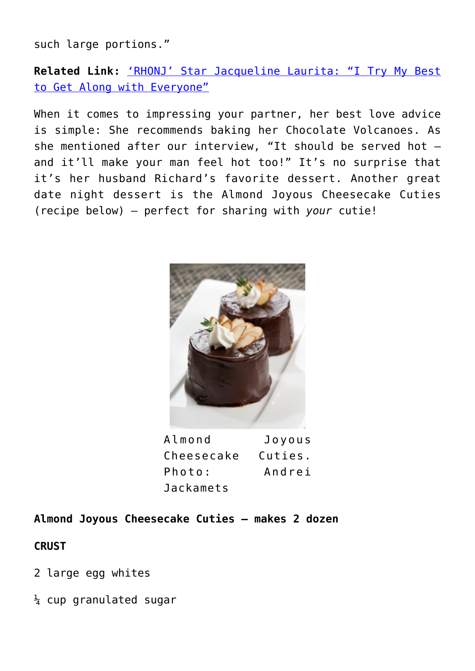such large portions."

**Related Link:** ['RHONJ' Star Jacqueline Laurita: "I Try My Best](http://cupidspulse.com/54295/rhonj-jacqueline-laurita-teresa-giudice-family-fighting-autism/) [to Get Along with Everyone"](http://cupidspulse.com/54295/rhonj-jacqueline-laurita-teresa-giudice-family-fighting-autism/)

When it comes to impressing your partner, her best love advice is simple: She recommends baking her Chocolate Volcanoes. As she mentioned after our interview, "It should be served hot and it'll make your man feel hot too!" It's no surprise that it's her husband Richard's favorite dessert. Another great date night dessert is the Almond Joyous Cheesecake Cuties (recipe below) — perfect for sharing with *your* cutie!



Almond Joyous Cheesecake Cuties. Photo: Andrei Jackamets

**Almond Joyous Cheesecake Cuties – makes 2 dozen**

#### **CRUST**

- 2 large egg whites
- $\frac{1}{4}$  cup granulated sugar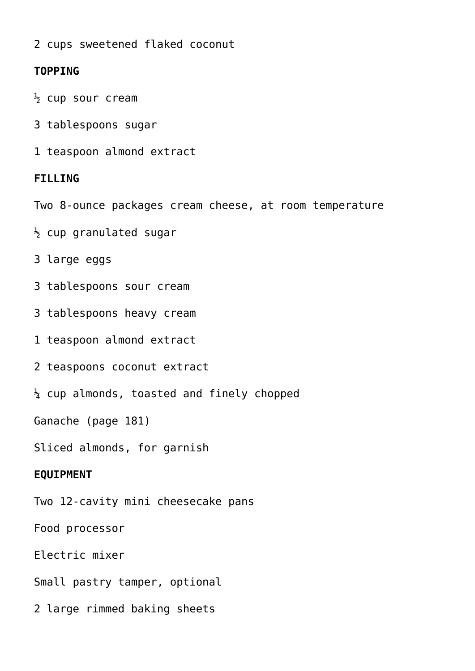2 cups sweetened flaked coconut

#### **TOPPING**

- $\frac{1}{2}$  cup sour cream
- 3 tablespoons sugar
- 1 teaspoon almond extract

#### **FILLING**

Two 8-ounce packages cream cheese, at room temperature

- $\frac{1}{2}$  cup granulated sugar
- 3 large eggs
- 3 tablespoons sour cream
- 3 tablespoons heavy cream
- 1 teaspoon almond extract
- 2 teaspoons coconut extract
- $\frac{1}{4}$  cup almonds, toasted and finely chopped

Ganache (page 181)

Sliced almonds, for garnish

#### **EQUIPMENT**

Two 12-cavity mini cheesecake pans

Food processor

Electric mixer

Small pastry tamper, optional

2 large rimmed baking sheets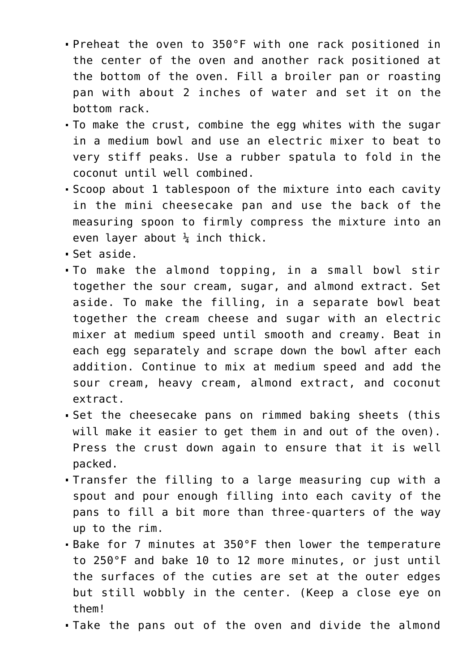- Preheat the oven to 350°F with one rack positioned in the center of the oven and another rack positioned at the bottom of the oven. Fill a broiler pan or roasting pan with about 2 inches of water and set it on the bottom rack.
- To make the crust, combine the egg whites with the sugar in a medium bowl and use an electric mixer to beat to very stiff peaks. Use a rubber spatula to fold in the coconut until well combined.
- Scoop about 1 tablespoon of the mixture into each cavity in the mini cheesecake pan and use the back of the measuring spoon to firmly compress the mixture into an even layer about  $\frac{1}{4}$  inch thick.
- Set aside.
- To make the almond topping, in a small bowl stir together the sour cream, sugar, and almond extract. Set aside. To make the filling, in a separate bowl beat together the cream cheese and sugar with an electric mixer at medium speed until smooth and creamy. Beat in each egg separately and scrape down the bowl after each addition. Continue to mix at medium speed and add the sour cream, heavy cream, almond extract, and coconut extract.
- Set the cheesecake pans on rimmed baking sheets (this will make it easier to get them in and out of the oven). Press the crust down again to ensure that it is well packed.
- Transfer the filling to a large measuring cup with a spout and pour enough filling into each cavity of the pans to fill a bit more than three-quarters of the way up to the rim.
- Bake for 7 minutes at 350°F then lower the temperature to 250°F and bake 10 to 12 more minutes, or just until the surfaces of the cuties are set at the outer edges but still wobbly in the center. (Keep a close eye on them!
- Take the pans out of the oven and divide the almond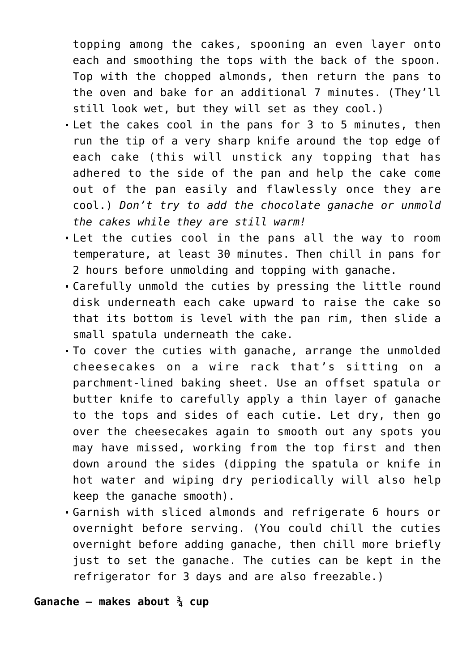topping among the cakes, spooning an even layer onto each and smoothing the tops with the back of the spoon. Top with the chopped almonds, then return the pans to the oven and bake for an additional 7 minutes. (They'll still look wet, but they will set as they cool.)

- Let the cakes cool in the pans for 3 to 5 minutes, then run the tip of a very sharp knife around the top edge of each cake (this will unstick any topping that has adhered to the side of the pan and help the cake come out of the pan easily and flawlessly once they are cool.) *Don't try to add the chocolate ganache or unmold the cakes while they are still warm!*
- Let the cuties cool in the pans all the way to room temperature, at least 30 minutes. Then chill in pans for 2 hours before unmolding and topping with ganache.
- Carefully unmold the cuties by pressing the little round disk underneath each cake upward to raise the cake so that its bottom is level with the pan rim, then slide a small spatula underneath the cake.
- To cover the cuties with ganache, arrange the unmolded cheesecakes on a wire rack that's sitting on a parchment-lined baking sheet. Use an offset spatula or butter knife to carefully apply a thin layer of ganache to the tops and sides of each cutie. Let dry, then go over the cheesecakes again to smooth out any spots you may have missed, working from the top first and then down around the sides (dipping the spatula or knife in hot water and wiping dry periodically will also help keep the ganache smooth).
- Garnish with sliced almonds and refrigerate 6 hours or overnight before serving. (You could chill the cuties overnight before adding ganache, then chill more briefly just to set the ganache. The cuties can be kept in the refrigerator for 3 days and are also freezable.)

**Ganache – makes about ¾ cup**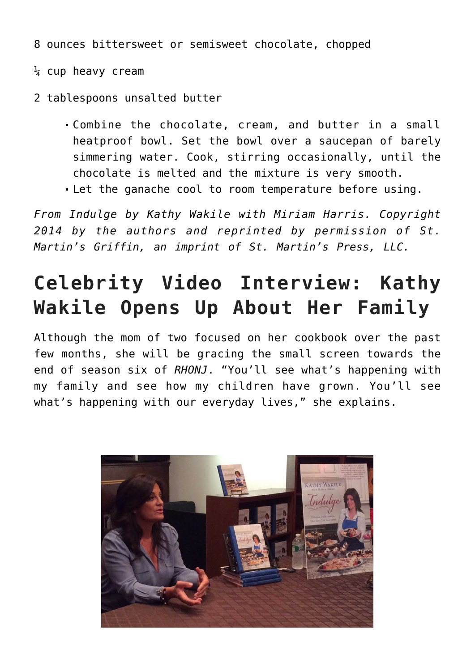8 ounces bittersweet or semisweet chocolate, chopped

 $\frac{1}{4}$  cup heavy cream

2 tablespoons unsalted butter

- Combine the chocolate, cream, and butter in a small heatproof bowl. Set the bowl over a saucepan of barely simmering water. Cook, stirring occasionally, until the chocolate is melted and the mixture is very smooth.
- Let the ganache cool to room temperature before using.

*From Indulge by Kathy Wakile with Miriam Harris. Copyright 2014 by the authors and reprinted by permission of St. Martin's Griffin, an imprint of St. Martin's Press, LLC.*

## **Celebrity Video Interview: Kathy Wakile Opens Up About Her Family**

Although the mom of two focused on her cookbook over the past few months, she will be gracing the small screen towards the end of season six of *RHONJ*. "You'll see what's happening with my family and see how my children have grown. You'll see what's happening with our everyday lives," she explains.